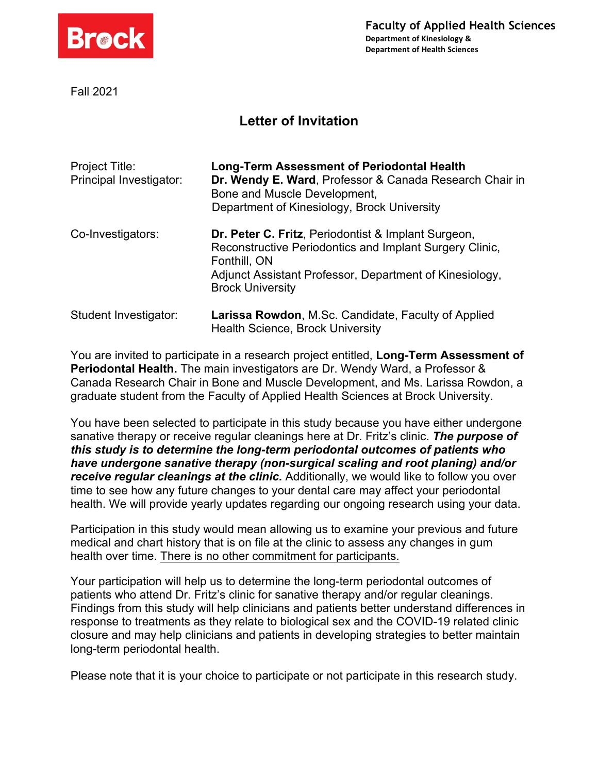

Fall 2021

## **Letter of Invitation**

| Project Title:<br>Principal Investigator: | <b>Long-Term Assessment of Periodontal Health</b><br>Dr. Wendy E. Ward, Professor & Canada Research Chair in<br>Bone and Muscle Development,<br>Department of Kinesiology, Brock University |
|-------------------------------------------|---------------------------------------------------------------------------------------------------------------------------------------------------------------------------------------------|
| Co-Investigators:                         | Dr. Peter C. Fritz, Periodontist & Implant Surgeon,<br>Reconstructive Periodontics and Implant Surgery Clinic,<br>Fonthill, ON<br>Adjunct Assistant Professor, Department of Kinesiology,   |
| Student Investigator:                     | <b>Brock University</b><br><b>Larissa Rowdon, M.Sc. Candidate, Faculty of Applied</b><br><b>Health Science, Brock University</b>                                                            |

You are invited to participate in a research project entitled, **Long-Term Assessment of Periodontal Health.** The main investigators are Dr. Wendy Ward, a Professor & Canada Research Chair in Bone and Muscle Development, and Ms. Larissa Rowdon, a graduate student from the Faculty of Applied Health Sciences at Brock University.

You have been selected to participate in this study because you have either undergone sanative therapy or receive regular cleanings here at Dr. Fritz's clinic. *The purpose of this study is to determine the long-term periodontal outcomes of patients who have undergone sanative therapy (non-surgical scaling and root planing) and/or receive regular cleanings at the clinic.* Additionally, we would like to follow you over time to see how any future changes to your dental care may affect your periodontal health. We will provide yearly updates regarding our ongoing research using your data.

Participation in this study would mean allowing us to examine your previous and future medical and chart history that is on file at the clinic to assess any changes in gum health over time. There is no other commitment for participants.

Your participation will help us to determine the long-term periodontal outcomes of patients who attend Dr. Fritz's clinic for sanative therapy and/or regular cleanings. Findings from this study will help clinicians and patients better understand differences in response to treatments as they relate to biological sex and the COVID-19 related clinic closure and may help clinicians and patients in developing strategies to better maintain long-term periodontal health.

Please note that it is your choice to participate or not participate in this research study.